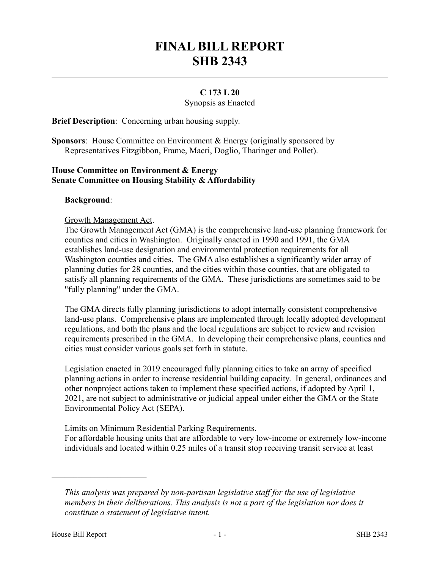# **FINAL BILL REPORT SHB 2343**

# **C 173 L 20**

Synopsis as Enacted

**Brief Description**: Concerning urban housing supply.

**Sponsors**: House Committee on Environment & Energy (originally sponsored by Representatives Fitzgibbon, Frame, Macri, Doglio, Tharinger and Pollet).

# **House Committee on Environment & Energy Senate Committee on Housing Stability & Affordability**

## **Background**:

Growth Management Act.

The Growth Management Act (GMA) is the comprehensive land-use planning framework for counties and cities in Washington. Originally enacted in 1990 and 1991, the GMA establishes land-use designation and environmental protection requirements for all Washington counties and cities. The GMA also establishes a significantly wider array of planning duties for 28 counties, and the cities within those counties, that are obligated to satisfy all planning requirements of the GMA. These jurisdictions are sometimes said to be "fully planning" under the GMA.

The GMA directs fully planning jurisdictions to adopt internally consistent comprehensive land-use plans. Comprehensive plans are implemented through locally adopted development regulations, and both the plans and the local regulations are subject to review and revision requirements prescribed in the GMA. In developing their comprehensive plans, counties and cities must consider various goals set forth in statute.

Legislation enacted in 2019 encouraged fully planning cities to take an array of specified planning actions in order to increase residential building capacity. In general, ordinances and other nonproject actions taken to implement these specified actions, if adopted by April 1, 2021, are not subject to administrative or judicial appeal under either the GMA or the State Environmental Policy Act (SEPA).

#### Limits on Minimum Residential Parking Requirements.

For affordable housing units that are affordable to very low-income or extremely low-income individuals and located within 0.25 miles of a transit stop receiving transit service at least

––––––––––––––––––––––

*This analysis was prepared by non-partisan legislative staff for the use of legislative members in their deliberations. This analysis is not a part of the legislation nor does it constitute a statement of legislative intent.*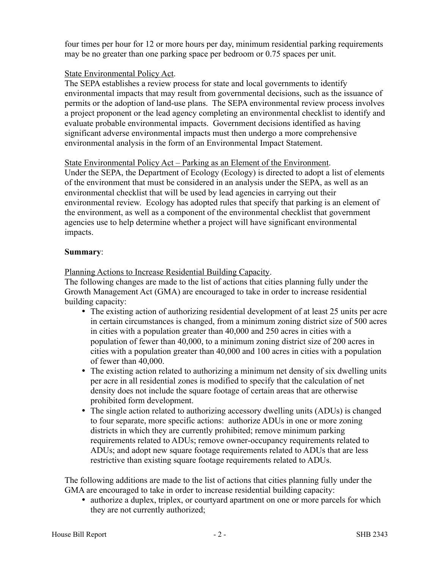four times per hour for 12 or more hours per day, minimum residential parking requirements may be no greater than one parking space per bedroom or 0.75 spaces per unit.

## State Environmental Policy Act.

The SEPA establishes a review process for state and local governments to identify environmental impacts that may result from governmental decisions, such as the issuance of permits or the adoption of land-use plans. The SEPA environmental review process involves a project proponent or the lead agency completing an environmental checklist to identify and evaluate probable environmental impacts. Government decisions identified as having significant adverse environmental impacts must then undergo a more comprehensive environmental analysis in the form of an Environmental Impact Statement.

## State Environmental Policy Act – Parking as an Element of the Environment.

Under the SEPA, the Department of Ecology (Ecology) is directed to adopt a list of elements of the environment that must be considered in an analysis under the SEPA, as well as an environmental checklist that will be used by lead agencies in carrying out their environmental review. Ecology has adopted rules that specify that parking is an element of the environment, as well as a component of the environmental checklist that government agencies use to help determine whether a project will have significant environmental impacts.

#### **Summary**:

Planning Actions to Increase Residential Building Capacity.

The following changes are made to the list of actions that cities planning fully under the Growth Management Act (GMA) are encouraged to take in order to increase residential building capacity:

- The existing action of authorizing residential development of at least 25 units per acre in certain circumstances is changed, from a minimum zoning district size of 500 acres in cities with a population greater than 40,000 and 250 acres in cities with a population of fewer than 40,000, to a minimum zoning district size of 200 acres in cities with a population greater than 40,000 and 100 acres in cities with a population of fewer than 40,000.
- The existing action related to authorizing a minimum net density of six dwelling units per acre in all residential zones is modified to specify that the calculation of net density does not include the square footage of certain areas that are otherwise prohibited form development.
- The single action related to authorizing accessory dwelling units (ADUs) is changed to four separate, more specific actions: authorize ADUs in one or more zoning districts in which they are currently prohibited; remove minimum parking requirements related to ADUs; remove owner-occupancy requirements related to ADUs; and adopt new square footage requirements related to ADUs that are less restrictive than existing square footage requirements related to ADUs.

The following additions are made to the list of actions that cities planning fully under the GMA are encouraged to take in order to increase residential building capacity:

• authorize a duplex, triplex, or courtyard apartment on one or more parcels for which they are not currently authorized;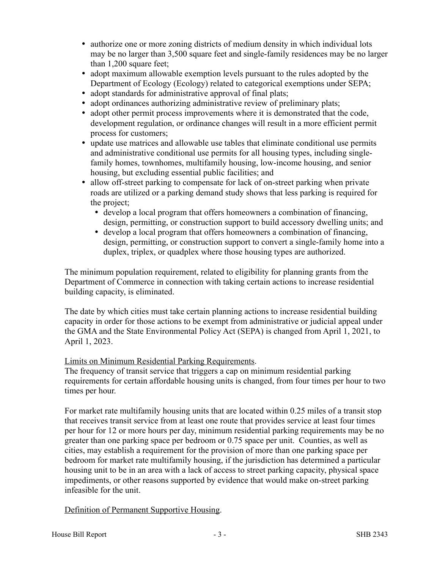- authorize one or more zoning districts of medium density in which individual lots may be no larger than 3,500 square feet and single-family residences may be no larger than 1,200 square feet;
- adopt maximum allowable exemption levels pursuant to the rules adopted by the Department of Ecology (Ecology) related to categorical exemptions under SEPA;
- adopt standards for administrative approval of final plats;
- adopt ordinances authorizing administrative review of preliminary plats;
- adopt other permit process improvements where it is demonstrated that the code, development regulation, or ordinance changes will result in a more efficient permit process for customers;
- update use matrices and allowable use tables that eliminate conditional use permits and administrative conditional use permits for all housing types, including singlefamily homes, townhomes, multifamily housing, low-income housing, and senior housing, but excluding essential public facilities; and
- allow off-street parking to compensate for lack of on-street parking when private roads are utilized or a parking demand study shows that less parking is required for the project;
	- develop a local program that offers homeowners a combination of financing, design, permitting, or construction support to build accessory dwelling units; and
	- develop a local program that offers homeowners a combination of financing, design, permitting, or construction support to convert a single-family home into a duplex, triplex, or quadplex where those housing types are authorized.

The minimum population requirement, related to eligibility for planning grants from the Department of Commerce in connection with taking certain actions to increase residential building capacity, is eliminated.

The date by which cities must take certain planning actions to increase residential building capacity in order for those actions to be exempt from administrative or judicial appeal under the GMA and the State Environmental Policy Act (SEPA) is changed from April 1, 2021, to April 1, 2023.

# Limits on Minimum Residential Parking Requirements.

The frequency of transit service that triggers a cap on minimum residential parking requirements for certain affordable housing units is changed, from four times per hour to two times per hour.

For market rate multifamily housing units that are located within 0.25 miles of a transit stop that receives transit service from at least one route that provides service at least four times per hour for 12 or more hours per day, minimum residential parking requirements may be no greater than one parking space per bedroom or 0.75 space per unit. Counties, as well as cities, may establish a requirement for the provision of more than one parking space per bedroom for market rate multifamily housing, if the jurisdiction has determined a particular housing unit to be in an area with a lack of access to street parking capacity, physical space impediments, or other reasons supported by evidence that would make on-street parking infeasible for the unit.

# Definition of Permanent Supportive Housing.